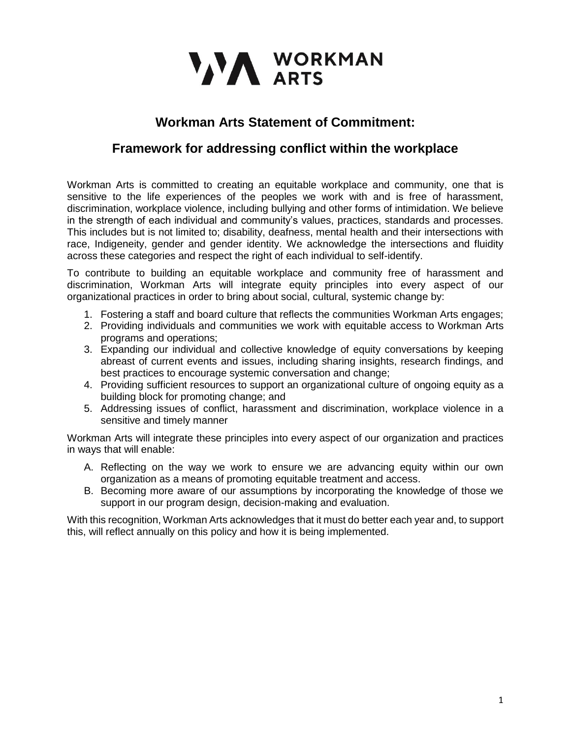

## **Workman Arts Statement of Commitment:**

## **Framework for addressing conflict within the workplace**

Workman Arts is committed to creating an equitable workplace and community, one that is sensitive to the life experiences of the peoples we work with and is free of harassment, discrimination, workplace violence, including bullying and other forms of intimidation. We believe in the strength of each individual and community's values, practices, standards and processes. This includes but is not limited to; disability, deafness, mental health and their intersections with race, Indigeneity, gender and gender identity. We acknowledge the intersections and fluidity across these categories and respect the right of each individual to self-identify.

To contribute to building an equitable workplace and community free of harassment and discrimination, Workman Arts will integrate equity principles into every aspect of our organizational practices in order to bring about social, cultural, systemic change by:

- 1. Fostering a staff and board culture that reflects the communities Workman Arts engages;
- 2. Providing individuals and communities we work with equitable access to Workman Arts programs and operations;
- 3. Expanding our individual and collective knowledge of equity conversations by keeping abreast of current events and issues, including sharing insights, research findings, and best practices to encourage systemic conversation and change;
- 4. Providing sufficient resources to support an organizational culture of ongoing equity as a building block for promoting change; and
- 5. Addressing issues of conflict, harassment and discrimination, workplace violence in a sensitive and timely manner

Workman Arts will integrate these principles into every aspect of our organization and practices in ways that will enable:

- A. Reflecting on the way we work to ensure we are advancing equity within our own organization as a means of promoting equitable treatment and access.
- B. Becoming more aware of our assumptions by incorporating the knowledge of those we support in our program design, decision-making and evaluation.

With this recognition, Workman Arts acknowledges that it must do better each year and, to support this, will reflect annually on this policy and how it is being implemented.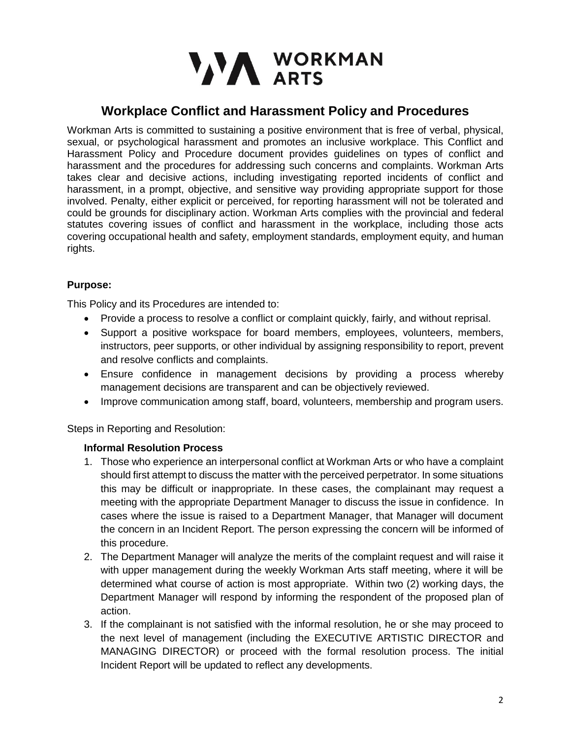

## **Workplace Conflict and Harassment Policy and Procedures**

Workman Arts is committed to sustaining a positive environment that is free of verbal, physical, sexual, or psychological harassment and promotes an inclusive workplace. This Conflict and Harassment Policy and Procedure document provides guidelines on types of conflict and harassment and the procedures for addressing such concerns and complaints. Workman Arts takes clear and decisive actions, including investigating reported incidents of conflict and harassment, in a prompt, objective, and sensitive way providing appropriate support for those involved. Penalty, either explicit or perceived, for reporting harassment will not be tolerated and could be grounds for disciplinary action. Workman Arts complies with the provincial and federal statutes covering issues of conflict and harassment in the workplace, including those acts covering occupational health and safety, employment standards, employment equity, and human rights.

#### **Purpose:**

This Policy and its Procedures are intended to:

- Provide a process to resolve a conflict or complaint quickly, fairly, and without reprisal.
- Support a positive workspace for board members, employees, volunteers, members, instructors, peer supports, or other individual by assigning responsibility to report, prevent and resolve conflicts and complaints.
- Ensure confidence in management decisions by providing a process whereby management decisions are transparent and can be objectively reviewed.
- Improve communication among staff, board, volunteers, membership and program users.

Steps in Reporting and Resolution:

#### **Informal Resolution Process**

- 1. Those who experience an interpersonal conflict at Workman Arts or who have a complaint should first attempt to discuss the matter with the perceived perpetrator. In some situations this may be difficult or inappropriate. In these cases, the complainant may request a meeting with the appropriate Department Manager to discuss the issue in confidence. In cases where the issue is raised to a Department Manager, that Manager will document the concern in an Incident Report. The person expressing the concern will be informed of this procedure.
- 2. The Department Manager will analyze the merits of the complaint request and will raise it with upper management during the weekly Workman Arts staff meeting, where it will be determined what course of action is most appropriate. Within two (2) working days, the Department Manager will respond by informing the respondent of the proposed plan of action.
- 3. If the complainant is not satisfied with the informal resolution, he or she may proceed to the next level of management (including the EXECUTIVE ARTISTIC DIRECTOR and MANAGING DIRECTOR) or proceed with the formal resolution process. The initial Incident Report will be updated to reflect any developments.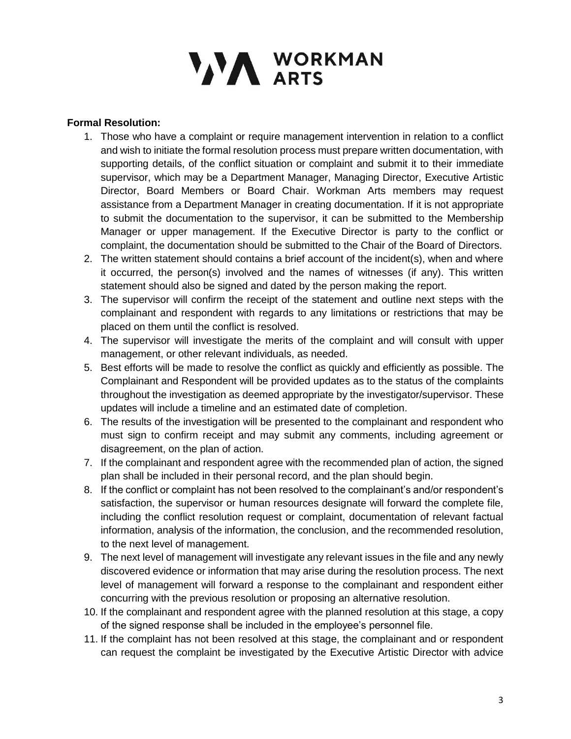# VAN WORKMAN

#### **Formal Resolution:**

- 1. Those who have a complaint or require management intervention in relation to a conflict and wish to initiate the formal resolution process must prepare written documentation, with supporting details, of the conflict situation or complaint and submit it to their immediate supervisor, which may be a Department Manager, Managing Director, Executive Artistic Director, Board Members or Board Chair. Workman Arts members may request assistance from a Department Manager in creating documentation. If it is not appropriate to submit the documentation to the supervisor, it can be submitted to the Membership Manager or upper management. If the Executive Director is party to the conflict or complaint, the documentation should be submitted to the Chair of the Board of Directors.
- 2. The written statement should contains a brief account of the incident(s), when and where it occurred, the person(s) involved and the names of witnesses (if any). This written statement should also be signed and dated by the person making the report.
- 3. The supervisor will confirm the receipt of the statement and outline next steps with the complainant and respondent with regards to any limitations or restrictions that may be placed on them until the conflict is resolved.
- 4. The supervisor will investigate the merits of the complaint and will consult with upper management, or other relevant individuals, as needed.
- 5. Best efforts will be made to resolve the conflict as quickly and efficiently as possible. The Complainant and Respondent will be provided updates as to the status of the complaints throughout the investigation as deemed appropriate by the investigator/supervisor. These updates will include a timeline and an estimated date of completion.
- 6. The results of the investigation will be presented to the complainant and respondent who must sign to confirm receipt and may submit any comments, including agreement or disagreement, on the plan of action.
- 7. If the complainant and respondent agree with the recommended plan of action, the signed plan shall be included in their personal record, and the plan should begin.
- 8. If the conflict or complaint has not been resolved to the complainant's and/or respondent's satisfaction, the supervisor or human resources designate will forward the complete file, including the conflict resolution request or complaint, documentation of relevant factual information, analysis of the information, the conclusion, and the recommended resolution, to the next level of management.
- 9. The next level of management will investigate any relevant issues in the file and any newly discovered evidence or information that may arise during the resolution process. The next level of management will forward a response to the complainant and respondent either concurring with the previous resolution or proposing an alternative resolution.
- 10. If the complainant and respondent agree with the planned resolution at this stage, a copy of the signed response shall be included in the employee's personnel file.
- 11. If the complaint has not been resolved at this stage, the complainant and or respondent can request the complaint be investigated by the Executive Artistic Director with advice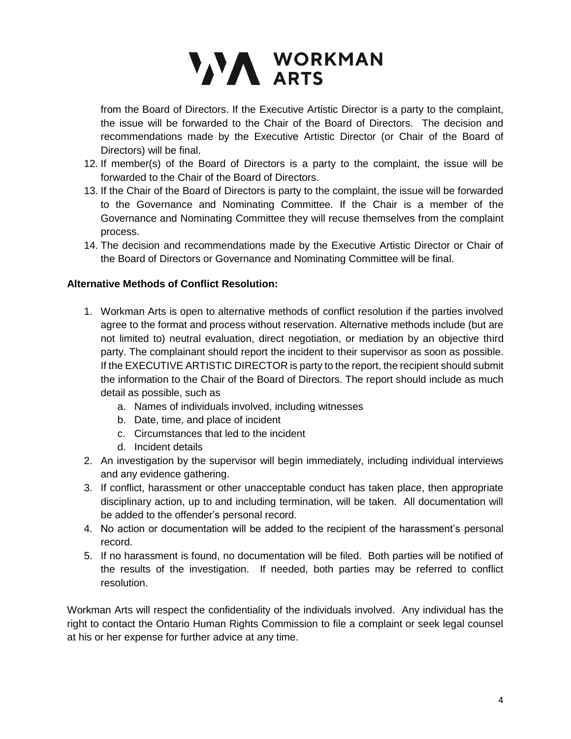# VA WORKMAN

from the Board of Directors. If the Executive Artistic Director is a party to the complaint, the issue will be forwarded to the Chair of the Board of Directors. The decision and recommendations made by the Executive Artistic Director (or Chair of the Board of Directors) will be final.

- 12. If member(s) of the Board of Directors is a party to the complaint, the issue will be forwarded to the Chair of the Board of Directors.
- 13. If the Chair of the Board of Directors is party to the complaint, the issue will be forwarded to the Governance and Nominating Committee. If the Chair is a member of the Governance and Nominating Committee they will recuse themselves from the complaint process.
- 14. The decision and recommendations made by the Executive Artistic Director or Chair of the Board of Directors or Governance and Nominating Committee will be final.

### **Alternative Methods of Conflict Resolution:**

- 1. Workman Arts is open to alternative methods of conflict resolution if the parties involved agree to the format and process without reservation. Alternative methods include (but are not limited to) neutral evaluation, direct negotiation, or mediation by an objective third party. The complainant should report the incident to their supervisor as soon as possible. If the EXECUTIVE ARTISTIC DIRECTOR is party to the report, the recipient should submit the information to the Chair of the Board of Directors. The report should include as much detail as possible, such as
	- a. Names of individuals involved, including witnesses
	- b. Date, time, and place of incident
	- c. Circumstances that led to the incident
	- d. Incident details
- 2. An investigation by the supervisor will begin immediately, including individual interviews and any evidence gathering.
- 3. If conflict, harassment or other unacceptable conduct has taken place, then appropriate disciplinary action, up to and including termination, will be taken. All documentation will be added to the offender's personal record.
- 4. No action or documentation will be added to the recipient of the harassment's personal record.
- 5. If no harassment is found, no documentation will be filed. Both parties will be notified of the results of the investigation. If needed, both parties may be referred to conflict resolution.

Workman Arts will respect the confidentiality of the individuals involved. Any individual has the right to contact the Ontario Human Rights Commission to file a complaint or seek legal counsel at his or her expense for further advice at any time.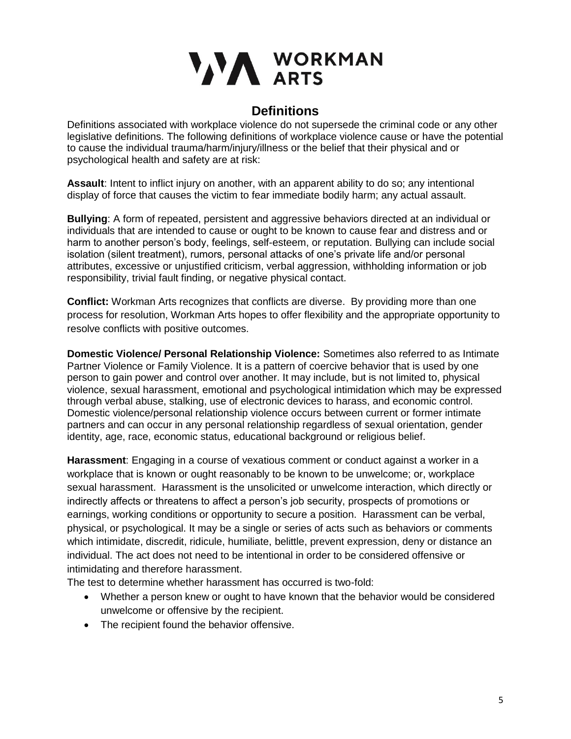

### **Definitions**

Definitions associated with workplace violence do not supersede the criminal code or any other legislative definitions. The following definitions of workplace violence cause or have the potential to cause the individual trauma/harm/injury/illness or the belief that their physical and or psychological health and safety are at risk:

**Assault**: Intent to inflict injury on another, with an apparent ability to do so; any intentional display of force that causes the victim to fear immediate bodily harm; any actual assault.

**Bullying**: A form of repeated, persistent and aggressive behaviors directed at an individual or individuals that are intended to cause or ought to be known to cause fear and distress and or harm to another person's body, feelings, self-esteem, or reputation. Bullying can include social isolation (silent treatment), rumors, personal attacks of one's private life and/or personal attributes, excessive or unjustified criticism, verbal aggression, withholding information or job responsibility, trivial fault finding, or negative physical contact.

**Conflict:** Workman Arts recognizes that conflicts are diverse. By providing more than one process for resolution, Workman Arts hopes to offer flexibility and the appropriate opportunity to resolve conflicts with positive outcomes.

**Domestic Violence/ Personal Relationship Violence:** Sometimes also referred to as Intimate Partner Violence or Family Violence. It is a pattern of coercive behavior that is used by one person to gain power and control over another. It may include, but is not limited to, physical violence, sexual harassment, emotional and psychological intimidation which may be expressed through verbal abuse, stalking, use of electronic devices to harass, and economic control. Domestic violence/personal relationship violence occurs between current or former intimate partners and can occur in any personal relationship regardless of sexual orientation, gender identity, age, race, economic status, educational background or religious belief.

**Harassment**: Engaging in a course of vexatious comment or conduct against a worker in a workplace that is known or ought reasonably to be known to be unwelcome; or, workplace sexual harassment. Harassment is the unsolicited or unwelcome interaction, which directly or indirectly affects or threatens to affect a person's job security, prospects of promotions or earnings, working conditions or opportunity to secure a position. Harassment can be verbal, physical, or psychological. It may be a single or series of acts such as behaviors or comments which intimidate, discredit, ridicule, humiliate, belittle, prevent expression, deny or distance an individual. The act does not need to be intentional in order to be considered offensive or intimidating and therefore harassment.

The test to determine whether harassment has occurred is two-fold:

- Whether a person knew or ought to have known that the behavior would be considered unwelcome or offensive by the recipient.
- The recipient found the behavior offensive.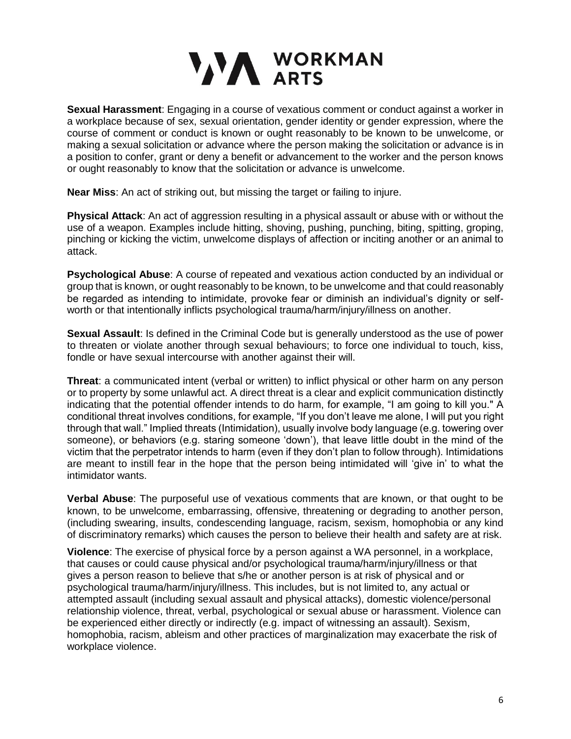# VAN WORKMAN

**Sexual Harassment**: Engaging in a course of vexatious comment or conduct against a worker in a workplace because of sex, sexual orientation, gender identity or gender expression, where the course of comment or conduct is known or ought reasonably to be known to be unwelcome, or making a sexual solicitation or advance where the person making the solicitation or advance is in a position to confer, grant or deny a benefit or advancement to the worker and the person knows or ought reasonably to know that the solicitation or advance is unwelcome.

**Near Miss**: An act of striking out, but missing the target or failing to injure.

**Physical Attack**: An act of aggression resulting in a physical assault or abuse with or without the use of a weapon. Examples include hitting, shoving, pushing, punching, biting, spitting, groping, pinching or kicking the victim, unwelcome displays of affection or inciting another or an animal to attack.

**Psychological Abuse**: A course of repeated and vexatious action conducted by an individual or group that is known, or ought reasonably to be known, to be unwelcome and that could reasonably be regarded as intending to intimidate, provoke fear or diminish an individual's dignity or selfworth or that intentionally inflicts psychological trauma/harm/injury/illness on another.

**Sexual Assault**: Is defined in the Criminal Code but is generally understood as the use of power to threaten or violate another through sexual behaviours; to force one individual to touch, kiss, fondle or have sexual intercourse with another against their will.

**Threat**: a communicated intent (verbal or written) to inflict physical or other harm on any person or to property by some unlawful act. A direct threat is a clear and explicit communication distinctly indicating that the potential offender intends to do harm, for example, "I am going to kill you." A conditional threat involves conditions, for example, "If you don't leave me alone, I will put you right through that wall." Implied threats (Intimidation), usually involve body language (e.g. towering over someone), or behaviors (e.g. staring someone 'down'), that leave little doubt in the mind of the victim that the perpetrator intends to harm (even if they don't plan to follow through). Intimidations are meant to instill fear in the hope that the person being intimidated will 'give in' to what the intimidator wants.

**Verbal Abuse**: The purposeful use of vexatious comments that are known, or that ought to be known, to be unwelcome, embarrassing, offensive, threatening or degrading to another person, (including swearing, insults, condescending language, racism, sexism, homophobia or any kind of discriminatory remarks) which causes the person to believe their health and safety are at risk.

**Violence**: The exercise of physical force by a person against a WA personnel, in a workplace, that causes or could cause physical and/or psychological trauma/harm/injury/illness or that gives a person reason to believe that s/he or another person is at risk of physical and or psychological trauma/harm/injury/illness. This includes, but is not limited to, any actual or attempted assault (including sexual assault and physical attacks), domestic violence/personal relationship violence, threat, verbal, psychological or sexual abuse or harassment. Violence can be experienced either directly or indirectly (e.g. impact of witnessing an assault). Sexism, homophobia, racism, ableism and other practices of marginalization may exacerbate the risk of workplace violence.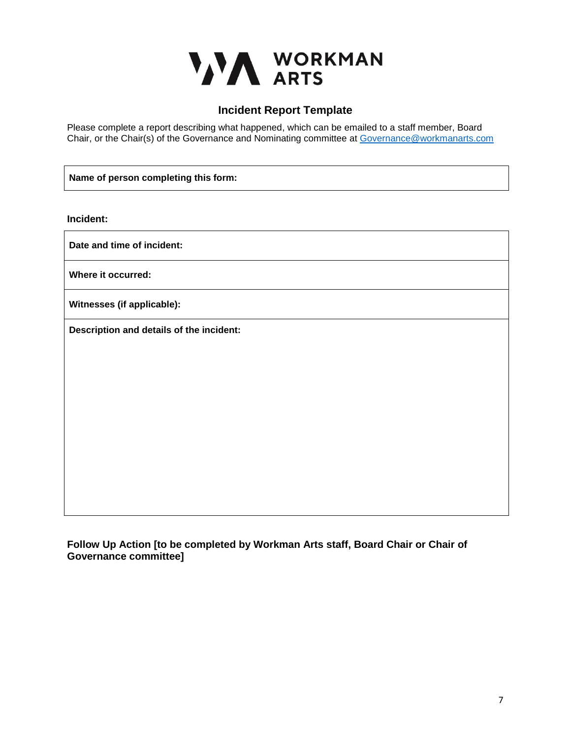

### **Incident Report Template**

Please complete a report describing what happened, which can be emailed to a staff member, Board Chair, or the Chair(s) of the Governance and Nominating committee at [Governance@workmanarts.com](mailto:Governance@workmanarts.com)

**Name of person completing this form:**

**Incident:**

**Date and time of incident:** 

**Where it occurred:**

**Witnesses (if applicable):**

**Description and details of the incident:**

**Follow Up Action [to be completed by Workman Arts staff, Board Chair or Chair of Governance committee]**